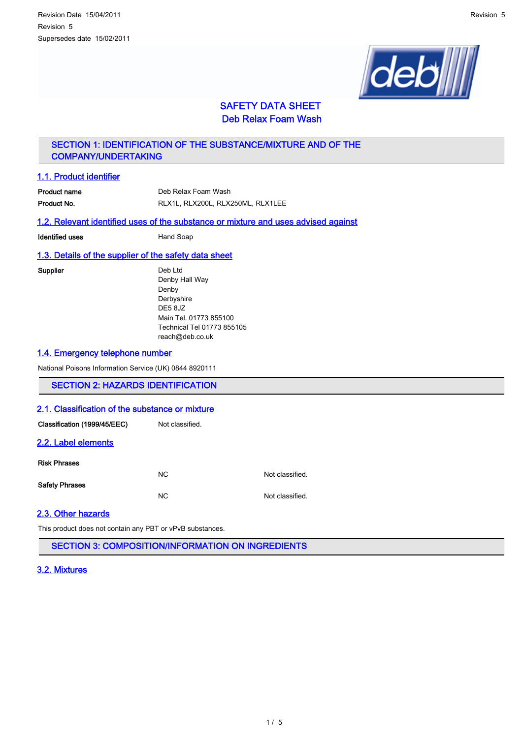

# SAFETY DATA SHEET Deb Relax Foam Wash

# SECTION 1: IDENTIFICATION OF THE SUBSTANCE/MIXTURE AND OF THE COMPANY/UNDERTAKING

# 1.1. Product identifier

| Product name | Deb Relax Foam Wash               |
|--------------|-----------------------------------|
| Product No.  | RLX1L. RLX200L. RLX250ML. RLX1LEE |

## 1.2. Relevant identified uses of the substance or mixture and uses advised against

| Identified uses | Hand Soap |
|-----------------|-----------|
|                 |           |

# 1.3. Details of the supplier of the safety data sheet

Supplier Deb Ltd Denby Hall Way Denby Derbyshire DE5 8JZ Main Tel. 01773 855100 Technical Tel 01773 855105 reach@deb.co.uk

## 1.4. Emergency telephone number

National Poisons Information Service (UK) 0844 8920111

# SECTION 2: HAZARDS IDENTIFICATION

### 2.1. Classification of the substance or mixture

| Classification (1999/45/EEC) | Not classified. |                 |
|------------------------------|-----------------|-----------------|
| 2.2. Label elements          |                 |                 |
| <b>Risk Phrases</b>          | NC.             | Not classified. |
| <b>Safety Phrases</b>        | <b>NC</b>       | Not classified. |
|                              |                 |                 |

## 2.3. Other hazards

This product does not contain any PBT or vPvB substances.

SECTION 3: COMPOSITION/INFORMATION ON INGREDIENTS

## 3.2. Mixtures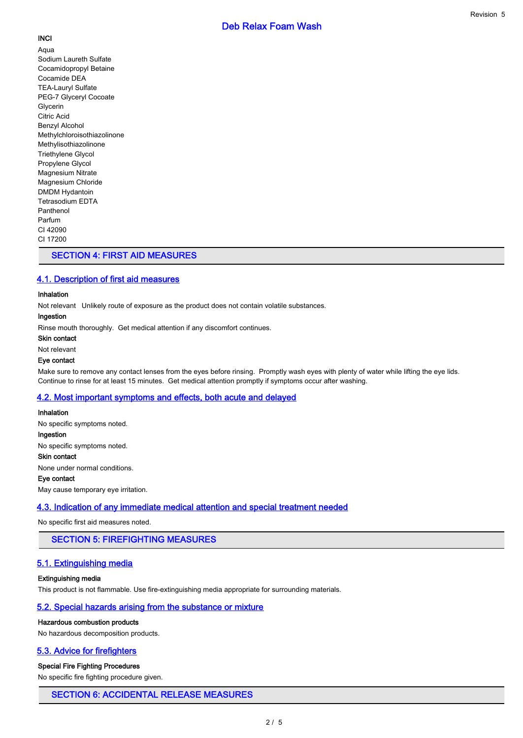# **INCI**

Aqua Sodium Laureth Sulfate Cocamidopropyl Betaine Cocamide DEA TEA-Lauryl Sulfate PEG-7 Glyceryl Cocoate Glycerin Citric Acid Benzyl Alcohol Methylchloroisothiazolinone Methylisothiazolinone Triethylene Glycol Propylene Glycol Magnesium Nitrate Magnesium Chloride DMDM Hydantoin Tetrasodium EDTA Panthenol Parfum CI 42090 CI 17200

# SECTION 4: FIRST AID MEASURES

# 4.1. Description of first aid measures

### Inhalation

Not relevant Unlikely route of exposure as the product does not contain volatile substances.

## Ingestion

Rinse mouth thoroughly. Get medical attention if any discomfort continues.

## Skin contact

### Not relevant

## Eye contact

Make sure to remove any contact lenses from the eyes before rinsing. Promptly wash eyes with plenty of water while lifting the eye lids. Continue to rinse for at least 15 minutes. Get medical attention promptly if symptoms occur after washing.

# 4.2. Most important symptoms and effects, both acute and delayed

# Inhalation No specific symptoms noted.

Ingestion No specific symptoms noted. Skin contact None under normal conditions.

### Eye contact

May cause temporary eye irritation.

# 4.3. Indication of any immediate medical attention and special treatment needed

No specific first aid measures noted.

# SECTION 5: FIREFIGHTING MEASURES

# 5.1. Extinguishing media

### Extinguishing media

This product is not flammable. Use fire-extinguishing media appropriate for surrounding materials.

# 5.2. Special hazards arising from the substance or mixture

### Hazardous combustion products

No hazardous decomposition products.

# 5.3. Advice for firefighters

## Special Fire Fighting Procedures

No specific fire fighting procedure given.

# SECTION 6: ACCIDENTAL RELEASE MEASURES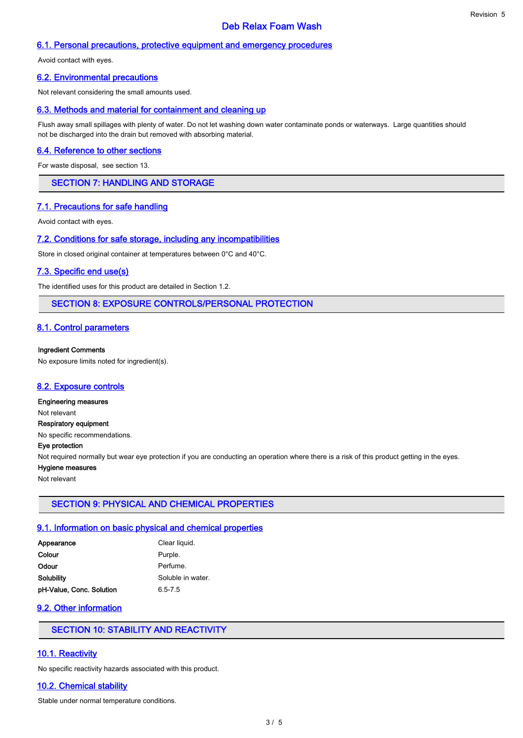# Deb Relax Foam Wash

## 6.1. Personal precautions, protective equipment and emergency procedures

Avoid contact with eyes.

## 6.2. Environmental precautions

Not relevant considering the small amounts used.

## 6.3. Methods and material for containment and cleaning up

Flush away small spillages with plenty of water. Do not let washing down water contaminate ponds or waterways. Large quantities should not be discharged into the drain but removed with absorbing material.

### 6.4. Reference to other sections

For waste disposal, see section 13.

# SECTION 7: HANDLING AND STORAGE

## 7.1. Precautions for safe handling

Avoid contact with eyes.

## 7.2. Conditions for safe storage, including any incompatibilities

Store in closed original container at temperatures between 0°C and 40°C.

### 7.3. Specific end use(s)

The identified uses for this product are detailed in Section 1.2.

## SECTION 8: EXPOSURE CONTROLS/PERSONAL PROTECTION

## 8.1. Control parameters

#### Ingredient Comments

No exposure limits noted for ingredient(s).

### 8.2. Exposure controls

## Engineering measures

Not relevant

Respiratory equipment No specific recommendations.

Eye protection

Not required normally but wear eye protection if you are conducting an operation where there is a risk of this product getting in the eyes.

## Hygiene measures

Not relevant

## SECTION 9: PHYSICAL AND CHEMICAL PROPERTIES

## 9.1. Information on basic physical and chemical properties

| Appearance               | Clear liquid.     |
|--------------------------|-------------------|
| Colour                   | Purple.           |
| Odour                    | Perfume.          |
| Solubilitv               | Soluble in water. |
| pH-Value, Conc. Solution | $6.5 - 7.5$       |

## 9.2. Other information

# SECTION 10: STABILITY AND REACTIVITY

## 10.1. Reactivity

No specific reactivity hazards associated with this product.

## 10.2. Chemical stability

Stable under normal temperature conditions.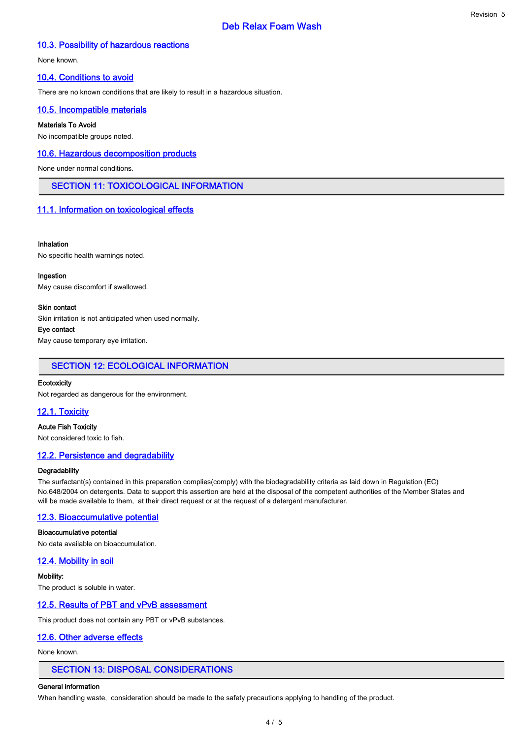# Deb Relax Foam Wash

## 10.3. Possibility of hazardous reactions

None known.

### 10.4. Conditions to avoid

There are no known conditions that are likely to result in a hazardous situation.

## 10.5. Incompatible materials

#### Materials To Avoid

No incompatible groups noted.

## 10.6. Hazardous decomposition products

None under normal conditions.

# SECTION 11: TOXICOLOGICAL INFORMATION

### 11.1. Information on toxicological effects

#### Inhalation

No specific health warnings noted.

#### Ingestion

May cause discomfort if swallowed.

#### Skin contact

Skin irritation is not anticipated when used normally.

#### Eye contact

May cause temporary eye irritation.

### SECTION 12: ECOLOGICAL INFORMATION

### **Ecotoxicity**

Not regarded as dangerous for the environment.

## 12.1. Toxicity

## Acute Fish Toxicity

Not considered toxic to fish.

### 12.2. Persistence and degradability

### **Degradability**

The surfactant(s) contained in this preparation complies(comply) with the biodegradability criteria as laid down in Regulation (EC) No.648/2004 on detergents. Data to support this assertion are held at the disposal of the competent authorities of the Member States and will be made available to them, at their direct request or at the request of a detergent manufacturer.

## 12.3. Bioaccumulative potential

#### Bioaccumulative potential

No data available on bioaccumulation.

## 12.4. Mobility in soil

Mobility: The product is soluble in water.

#### 12.5. Results of PBT and vPvB assessment

This product does not contain any PBT or vPvB substances.

## 12.6. Other adverse effects

None known.

## SECTION 13: DISPOSAL CONSIDERATIONS

#### General information

When handling waste, consideration should be made to the safety precautions applying to handling of the product.